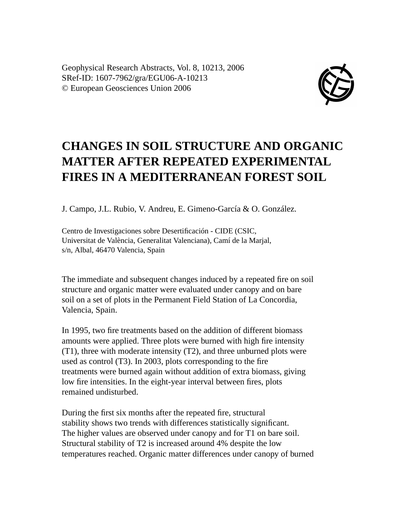Geophysical Research Abstracts, Vol. 8, 10213, 2006 SRef-ID: 1607-7962/gra/EGU06-A-10213 © European Geosciences Union 2006



## **CHANGES IN SOIL STRUCTURE AND ORGANIC MATTER AFTER REPEATED EXPERIMENTAL FIRES IN A MEDITERRANEAN FOREST SOIL**

J. Campo, J.L. Rubio, V. Andreu, E. Gimeno-García & O. González.

Centro de Investigaciones sobre Desertificación - CIDE (CSIC, Universitat de València, Generalitat Valenciana), Camí de la Marjal, s/n, Albal, 46470 Valencia, Spain

The immediate and subsequent changes induced by a repeated fire on soil structure and organic matter were evaluated under canopy and on bare soil on a set of plots in the Permanent Field Station of La Concordia, Valencia, Spain.

In 1995, two fire treatments based on the addition of different biomass amounts were applied. Three plots were burned with high fire intensity (T1), three with moderate intensity (T2), and three unburned plots were used as control (T3). In 2003, plots corresponding to the fire treatments were burned again without addition of extra biomass, giving low fire intensities. In the eight-year interval between fires, plots remained undisturbed.

During the first six months after the repeated fire, structural stability shows two trends with differences statistically significant. The higher values are observed under canopy and for T1 on bare soil. Structural stability of T2 is increased around 4% despite the low temperatures reached. Organic matter differences under canopy of burned